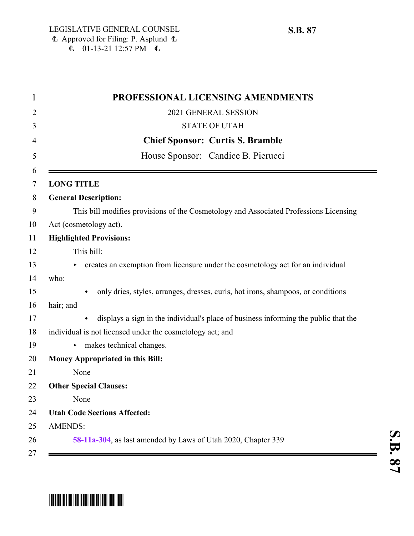| PROFESSIONAL LICENSING AMENDMENTS                                                             |
|-----------------------------------------------------------------------------------------------|
| 2021 GENERAL SESSION                                                                          |
| <b>STATE OF UTAH</b>                                                                          |
| <b>Chief Sponsor: Curtis S. Bramble</b>                                                       |
| House Sponsor: Candice B. Pierucci                                                            |
| <b>LONG TITLE</b>                                                                             |
| <b>General Description:</b>                                                                   |
| This bill modifies provisions of the Cosmetology and Associated Professions Licensing         |
| Act (cosmetology act).                                                                        |
| <b>Highlighted Provisions:</b>                                                                |
| This bill:                                                                                    |
| creates an exemption from licensure under the cosmetology act for an individual               |
| who:                                                                                          |
| only dries, styles, arranges, dresses, curls, hot irons, shampoos, or conditions<br>$\bullet$ |
| hair; and                                                                                     |
| displays a sign in the individual's place of business informing the public that the           |
| individual is not licensed under the cosmetology act; and                                     |
| makes technical changes.<br>Þ.                                                                |
| Money Appropriated in this Bill:                                                              |
| None                                                                                          |
| <b>Other Special Clauses:</b>                                                                 |
| None                                                                                          |
| <b>Utah Code Sections Affected:</b>                                                           |
| <b>AMENDS:</b>                                                                                |
| 58-11a-304, as last amended by Laws of Utah 2020, Chapter 339                                 |

## \* SB008787 TO THE TELL BELL BELL BELL BELL BELL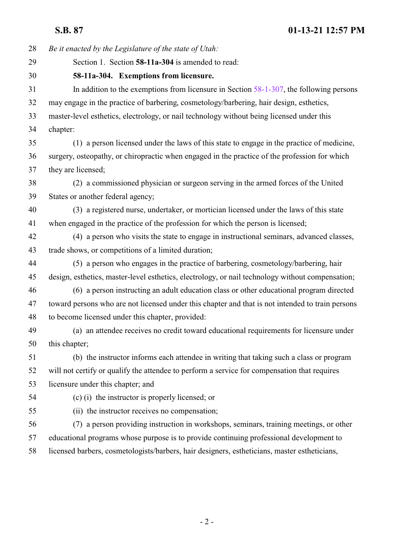<span id="page-1-0"></span>

| 28 | Be it enacted by the Legislature of the state of Utah:                                           |
|----|--------------------------------------------------------------------------------------------------|
| 29 | Section 1. Section 58-11a-304 is amended to read:                                                |
| 30 | 58-11a-304. Exemptions from licensure.                                                           |
| 31 | In addition to the exemptions from licensure in Section $58-1-307$ , the following persons       |
| 32 | may engage in the practice of barbering, cosmetology/barbering, hair design, esthetics,          |
| 33 | master-level esthetics, electrology, or nail technology without being licensed under this        |
| 34 | chapter:                                                                                         |
| 35 | (1) a person licensed under the laws of this state to engage in the practice of medicine,        |
| 36 | surgery, osteopathy, or chiropractic when engaged in the practice of the profession for which    |
| 37 | they are licensed;                                                                               |
| 38 | (2) a commissioned physician or surgeon serving in the armed forces of the United                |
| 39 | States or another federal agency;                                                                |
| 40 | (3) a registered nurse, undertaker, or mortician licensed under the laws of this state           |
| 41 | when engaged in the practice of the profession for which the person is licensed;                 |
| 42 | (4) a person who visits the state to engage in instructional seminars, advanced classes,         |
| 43 | trade shows, or competitions of a limited duration;                                              |
| 44 | (5) a person who engages in the practice of barbering, cosmetology/barbering, hair               |
| 45 | design, esthetics, master-level esthetics, electrology, or nail technology without compensation; |
| 46 | (6) a person instructing an adult education class or other educational program directed          |
| 47 | toward persons who are not licensed under this chapter and that is not intended to train persons |
| 48 | to become licensed under this chapter, provided:                                                 |
| 49 | (a) an attendee receives no credit toward educational requirements for licensure under           |
| 50 | this chapter;                                                                                    |
| 51 | (b) the instructor informs each attendee in writing that taking such a class or program          |
| 52 | will not certify or qualify the attendee to perform a service for compensation that requires     |
| 53 | licensure under this chapter; and                                                                |
| 54 | (c) (i) the instructor is properly licensed; or                                                  |
| 55 | (ii) the instructor receives no compensation;                                                    |
| 56 | (7) a person providing instruction in workshops, seminars, training meetings, or other           |
| 57 | educational programs whose purpose is to provide continuing professional development to          |
| 58 | licensed barbers, cosmetologists/barbers, hair designers, estheticians, master estheticians,     |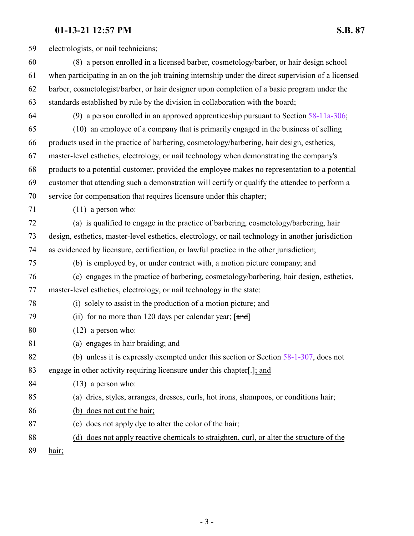## **01-13-21 12:57 PM S.B. 87**

 electrologists, or nail technicians; (8) a person enrolled in a licensed barber, cosmetology/barber, or hair design school when participating in an on the job training internship under the direct supervision of a licensed barber, cosmetologist/barber, or hair designer upon completion of a basic program under the standards established by rule by the division in collaboration with the board; (9) a person enrolled in an approved apprenticeship pursuant to Section [58-11a-306](http://le.utah.gov/UtahCode/SectionLookup.jsp?section=58-11a-306&session=2021GS); (10) an employee of a company that is primarily engaged in the business of selling products used in the practice of barbering, cosmetology/barbering, hair design, esthetics, master-level esthetics, electrology, or nail technology when demonstrating the company's products to a potential customer, provided the employee makes no representation to a potential customer that attending such a demonstration will certify or qualify the attendee to perform a service for compensation that requires licensure under this chapter; (11) a person who: (a) is qualified to engage in the practice of barbering, cosmetology/barbering, hair design, esthetics, master-level esthetics, electrology, or nail technology in another jurisdiction as evidenced by licensure, certification, or lawful practice in the other jurisdiction; (b) is employed by, or under contract with, a motion picture company; and (c) engages in the practice of barbering, cosmetology/barbering, hair design, esthetics, master-level esthetics, electrology, or nail technology in the state: (i) solely to assist in the production of a motion picture; and 79 (ii) for no more than 120 days per calendar year;  $[\text{and}]$  (12) a person who: (a) engages in hair braiding; and (b) unless it is expressly exempted under this section or Section [58-1-307](http://le.utah.gov/UtahCode/SectionLookup.jsp?section=58-1-307&session=2021GS), does not engage in other activity requiring licensure under this chapter[.]; and (13) a person who: (a) dries, styles, arranges, dresses, curls, hot irons, shampoos, or conditions hair; (b) does not cut the hair; (c) does not apply dye to alter the color of the hair; (d) does not apply reactive chemicals to straighten, curl, or alter the structure of the

hair;